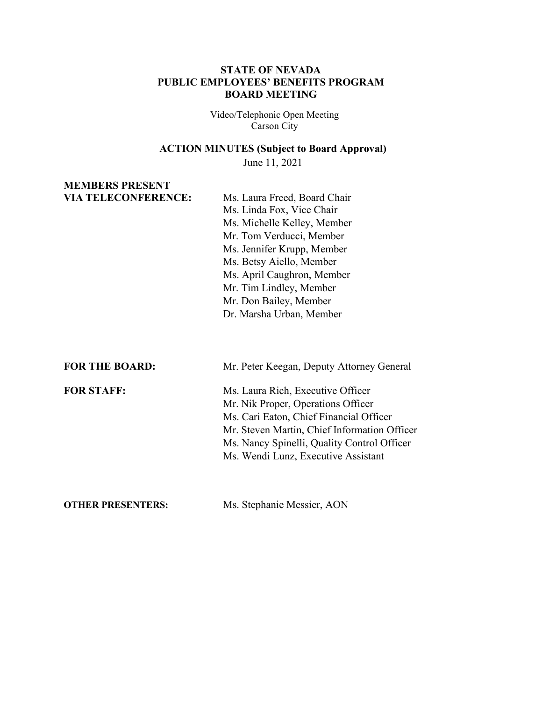#### **STATE OF NEVADA PUBLIC EMPLOYEES' BENEFITS PROGRAM BOARD MEETING**

Video/Telephonic Open Meeting Carson City

| <b>ACTION MINUTES (Subject to Board Approval)</b> |  |  |
|---------------------------------------------------|--|--|
|---------------------------------------------------|--|--|

June 11, 2021

# **MEMBERS PRESENT**

**VIA TELECONFERENCE:** Ms. Laura Freed, Board Chair Ms. Linda Fox, Vice Chair Ms. Michelle Kelley, Member Mr. Tom Verducci, Member Ms. Jennifer Krupp, Member Ms. Betsy Aiello, Member Ms. April Caughron, Member Mr. Tim Lindley, Member Mr. Don Bailey, Member Dr. Marsha Urban, Member

**FOR THE BOARD:** Mr. Peter Keegan, Deputy Attorney General

**FOR STAFF:** Ms. Laura Rich, Executive Officer Mr. Nik Proper, Operations Officer Ms. Cari Eaton, Chief Financial Officer Mr. Steven Martin, Chief Information Officer Ms. Nancy Spinelli, Quality Control Officer Ms. Wendi Lunz, Executive Assistant

**OTHER PRESENTERS:** Ms. Stephanie Messier, AON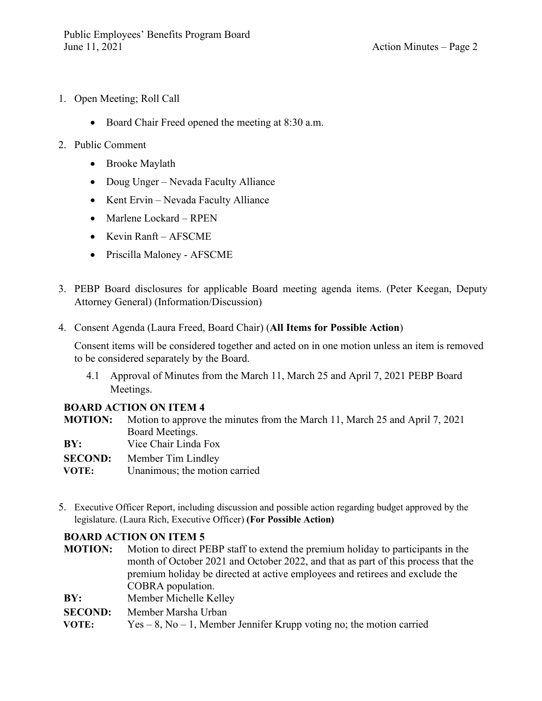- 1. Open Meeting; Roll Call
	- Board Chair Freed opened the meeting at 8:30 a.m.
- 2. Public Comment
	- Brooke Maylath
	- Doug Unger Nevada Faculty Alliance
	- Kent Ervin Nevada Faculty Alliance
	- Marlene Lockard RPEN
	- Kevin Ranft AFSCME
	- Priscilla Maloney AFSCME
- 3. PEBP Board disclosures for applicable Board meeting agenda items. (Peter Keegan, Deputy Attorney General) (Information/Discussion)
- 4. Consent Agenda (Laura Freed, Board Chair) (**All Items for Possible Action**)

Consent items will be considered together and acted on in one motion unless an item is removed to be considered separately by the Board.

4.1 Approval of Minutes from the March 11, March 25 and April 7, 2021 PEBP Board Meetings.

## **BOARD ACTION ON ITEM 4**

**MOTION:** Motion to approve the minutes from the March 11, March 25 and April 7, 2021 Board Meetings.

- **BY:** Vice Chair Linda Fox
- **SECOND:** Member Tim Lindley
- **VOTE:** Unanimous; the motion carried
- 5. Executive Officer Report, including discussion and possible action regarding budget approved by the legislature. (Laura Rich, Executive Officer) **(For Possible Action)**

## **BOARD ACTION ON ITEM 5**

- **MOTION:** Motion to direct PEBP staff to extend the premium holiday to participants in the month of October 2021 and October 2022, and that as part of this process that the premium holiday be directed at active employees and retirees and exclude the COBRA population.
- **BY:** Member Michelle Kelley
- **SECOND:** Member Marsha Urban
- **VOTE:** Yes 8, No 1, Member Jennifer Krupp voting no; the motion carried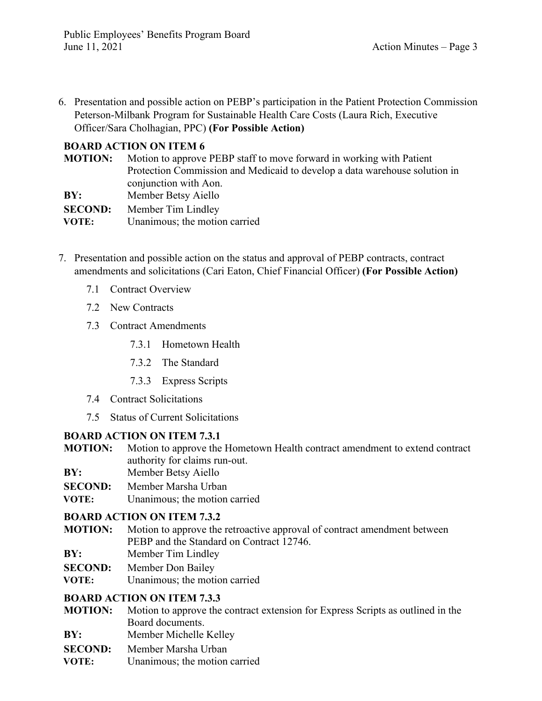6. Presentation and possible action on PEBP's participation in the Patient Protection Commission Peterson-Milbank Program for Sustainable Health Care Costs (Laura Rich, Executive Officer/Sara Cholhagian, PPC) **(For Possible Action)**

## **BOARD ACTION ON ITEM 6**

| <b>MOTION:</b> | Motion to approve PEBP staff to move forward in working with Patient       |  |
|----------------|----------------------------------------------------------------------------|--|
|                | Protection Commission and Medicaid to develop a data warehouse solution in |  |
|                | conjunction with Aon.                                                      |  |
| BY:            | Member Betsy Aiello                                                        |  |
| <b>SECOND:</b> | Member Tim Lindley                                                         |  |
| VOTE:          | Unanimous; the motion carried                                              |  |

- 7. Presentation and possible action on the status and approval of PEBP contracts, contract amendments and solicitations (Cari Eaton, Chief Financial Officer) **(For Possible Action)**
	- 7.1 Contract Overview
	- 7.2 New Contracts
	- 7.3 Contract Amendments
		- 7.3.1 Hometown Health
		- 7.3.2 The Standard
		- 7.3.3 Express Scripts
	- 7.4 Contract Solicitations
	- 7.5 Status of Current Solicitations

## **BOARD ACTION ON ITEM 7.3.1**

- **MOTION:** Motion to approve the Hometown Health contract amendment to extend contract authority for claims run-out.
- **BY:** Member Betsy Aiello
- **SECOND:** Member Marsha Urban
- **VOTE:** Unanimous; the motion carried

#### **BOARD ACTION ON ITEM 7.3.2**

- **MOTION:** Motion to approve the retroactive approval of contract amendment between PEBP and the Standard on Contract 12746.
- **BY:** Member Tim Lindley
- **SECOND:** Member Don Bailey
- **VOTE:** Unanimous; the motion carried

## **BOARD ACTION ON ITEM 7.3.3**

- **MOTION:** Motion to approve the contract extension for Express Scripts as outlined in the Board documents.
- **BY:** Member Michelle Kelley
- **SECOND:** Member Marsha Urban
- **VOTE:** Unanimous; the motion carried